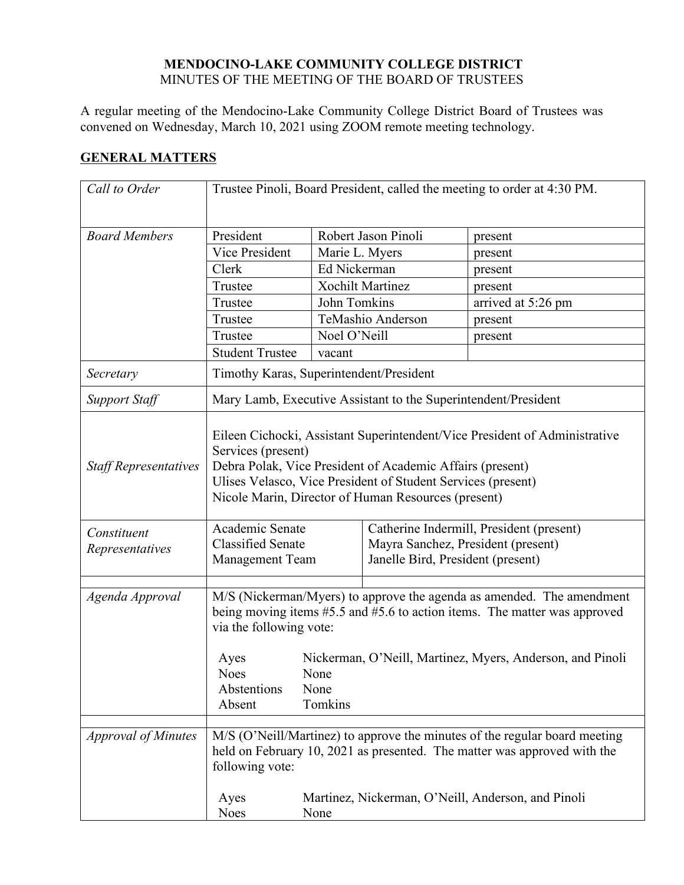## **MENDOCINO-LAKE COMMUNITY COLLEGE DISTRICT** MINUTES OF THE MEETING OF THE BOARD OF TRUSTEES

A regular meeting of the Mendocino-Lake Community College District Board of Trustees was convened on Wednesday, March 10, 2021 using ZOOM remote meeting technology.

## **GENERAL MATTERS**

| Call to Order                  | Trustee Pinoli, Board President, called the meeting to order at 4:30 PM.                                                                                                                                                                                                             |                         |                                   |                                                                                |
|--------------------------------|--------------------------------------------------------------------------------------------------------------------------------------------------------------------------------------------------------------------------------------------------------------------------------------|-------------------------|-----------------------------------|--------------------------------------------------------------------------------|
| <b>Board Members</b>           | President                                                                                                                                                                                                                                                                            |                         | Robert Jason Pinoli               | present                                                                        |
|                                | Vice President                                                                                                                                                                                                                                                                       | Marie L. Myers          |                                   | present                                                                        |
|                                | Clerk                                                                                                                                                                                                                                                                                | Ed Nickerman            |                                   | present                                                                        |
|                                | Trustee                                                                                                                                                                                                                                                                              |                         | <b>Xochilt Martinez</b>           | present                                                                        |
|                                | Trustee                                                                                                                                                                                                                                                                              | John Tomkins            |                                   | arrived at 5:26 pm                                                             |
|                                | Trustee                                                                                                                                                                                                                                                                              |                         | TeMashio Anderson                 | present                                                                        |
|                                | Trustee                                                                                                                                                                                                                                                                              | Noel O'Neill            |                                   | present                                                                        |
|                                | <b>Student Trustee</b>                                                                                                                                                                                                                                                               | vacant                  |                                   |                                                                                |
| Secretary                      | Timothy Karas, Superintendent/President                                                                                                                                                                                                                                              |                         |                                   |                                                                                |
| <b>Support Staff</b>           | Mary Lamb, Executive Assistant to the Superintendent/President                                                                                                                                                                                                                       |                         |                                   |                                                                                |
| <b>Staff Representatives</b>   | Eileen Cichocki, Assistant Superintendent/Vice President of Administrative<br>Services (present)<br>Debra Polak, Vice President of Academic Affairs (present)<br>Ulises Velasco, Vice President of Student Services (present)<br>Nicole Marin, Director of Human Resources (present) |                         |                                   |                                                                                |
| Constituent<br>Representatives | Academic Senate<br><b>Classified Senate</b><br>Management Team                                                                                                                                                                                                                       |                         | Janelle Bird, President (present) | Catherine Indermill, President (present)<br>Mayra Sanchez, President (present) |
| Agenda Approval                |                                                                                                                                                                                                                                                                                      |                         |                                   |                                                                                |
|                                | M/S (Nickerman/Myers) to approve the agenda as amended. The amendment<br>being moving items #5.5 and #5.6 to action items. The matter was approved<br>via the following vote:                                                                                                        |                         |                                   |                                                                                |
|                                | Ayes<br><b>Noes</b><br>Abstentions<br>Absent                                                                                                                                                                                                                                         | None<br>None<br>Tomkins |                                   | Nickerman, O'Neill, Martinez, Myers, Anderson, and Pinoli                      |
| <b>Approval of Minutes</b>     | M/S (O'Neill/Martinez) to approve the minutes of the regular board meeting<br>held on February 10, 2021 as presented. The matter was approved with the<br>following vote:                                                                                                            |                         |                                   |                                                                                |
|                                | Ayes<br><b>Noes</b>                                                                                                                                                                                                                                                                  | None                    |                                   | Martinez, Nickerman, O'Neill, Anderson, and Pinoli                             |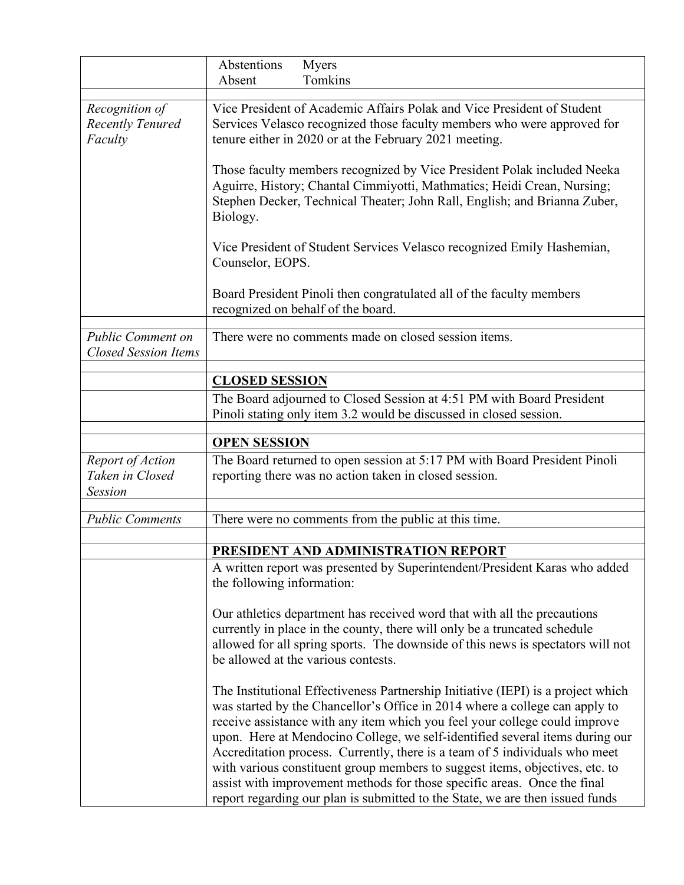|                                                         | Abstentions<br>Myers<br>Absent<br>Tomkins                                                                                                                                                                                                                                       |  |
|---------------------------------------------------------|---------------------------------------------------------------------------------------------------------------------------------------------------------------------------------------------------------------------------------------------------------------------------------|--|
| Recognition of<br><b>Recently Tenured</b><br>Faculty    | Vice President of Academic Affairs Polak and Vice President of Student<br>Services Velasco recognized those faculty members who were approved for<br>tenure either in 2020 or at the February 2021 meeting.                                                                     |  |
|                                                         | Those faculty members recognized by Vice President Polak included Neeka<br>Aguirre, History; Chantal Cimmiyotti, Mathmatics; Heidi Crean, Nursing;<br>Stephen Decker, Technical Theater; John Rall, English; and Brianna Zuber,<br>Biology.                                     |  |
|                                                         | Vice President of Student Services Velasco recognized Emily Hashemian,<br>Counselor, EOPS.                                                                                                                                                                                      |  |
|                                                         | Board President Pinoli then congratulated all of the faculty members<br>recognized on behalf of the board.                                                                                                                                                                      |  |
| <b>Public Comment on</b><br><b>Closed Session Items</b> | There were no comments made on closed session items.                                                                                                                                                                                                                            |  |
|                                                         | <b>CLOSED SESSION</b>                                                                                                                                                                                                                                                           |  |
|                                                         | The Board adjourned to Closed Session at 4:51 PM with Board President<br>Pinoli stating only item 3.2 would be discussed in closed session.                                                                                                                                     |  |
|                                                         |                                                                                                                                                                                                                                                                                 |  |
|                                                         |                                                                                                                                                                                                                                                                                 |  |
|                                                         | <b>OPEN SESSION</b>                                                                                                                                                                                                                                                             |  |
| Report of Action<br>Taken in Closed<br><b>Session</b>   | The Board returned to open session at 5:17 PM with Board President Pinoli<br>reporting there was no action taken in closed session.                                                                                                                                             |  |
| <b>Public Comments</b>                                  | There were no comments from the public at this time.                                                                                                                                                                                                                            |  |
|                                                         |                                                                                                                                                                                                                                                                                 |  |
|                                                         | PRESIDENT AND ADMINISTRATION REPORT<br>A written report was presented by Superintendent/President Karas who added<br>the following information:                                                                                                                                 |  |
|                                                         | Our athletics department has received word that with all the precautions<br>currently in place in the county, there will only be a truncated schedule<br>allowed for all spring sports. The downside of this news is spectators will not<br>be allowed at the various contests. |  |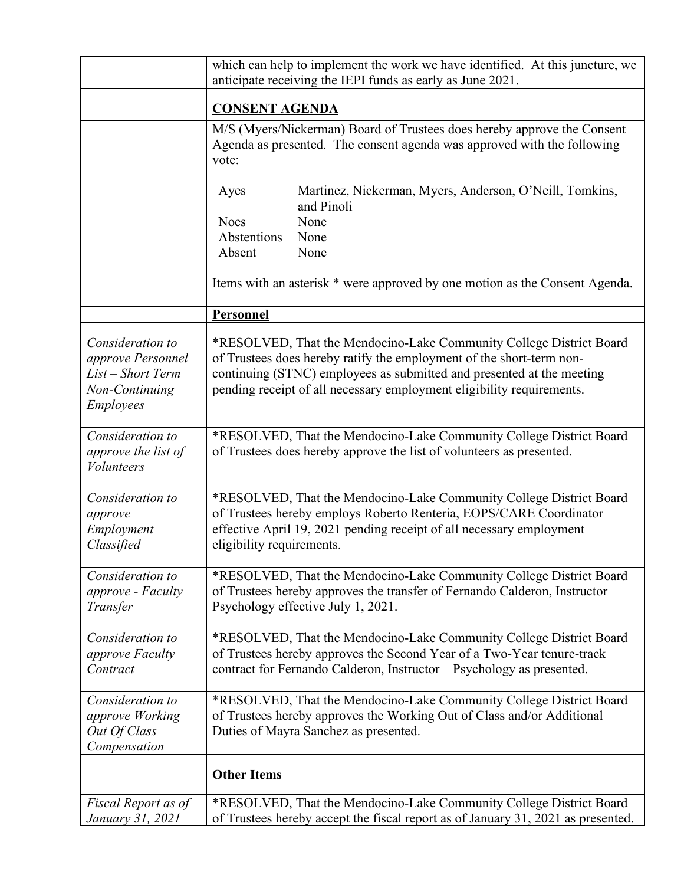|                                                                                                  | which can help to implement the work we have identified. At this juncture, we<br>anticipate receiving the IEPI funds as early as June 2021.                                                                                                                                                   |  |
|--------------------------------------------------------------------------------------------------|-----------------------------------------------------------------------------------------------------------------------------------------------------------------------------------------------------------------------------------------------------------------------------------------------|--|
|                                                                                                  | <b>CONSENT AGENDA</b>                                                                                                                                                                                                                                                                         |  |
|                                                                                                  | M/S (Myers/Nickerman) Board of Trustees does hereby approve the Consent<br>Agenda as presented. The consent agenda was approved with the following<br>vote:                                                                                                                                   |  |
|                                                                                                  | Martinez, Nickerman, Myers, Anderson, O'Neill, Tomkins,<br>Ayes<br>and Pinoli                                                                                                                                                                                                                 |  |
|                                                                                                  | None<br><b>Noes</b>                                                                                                                                                                                                                                                                           |  |
|                                                                                                  | Abstentions<br>None                                                                                                                                                                                                                                                                           |  |
|                                                                                                  | Absent<br>None                                                                                                                                                                                                                                                                                |  |
|                                                                                                  | Items with an asterisk * were approved by one motion as the Consent Agenda.                                                                                                                                                                                                                   |  |
|                                                                                                  | Personnel                                                                                                                                                                                                                                                                                     |  |
| Consideration to<br>approve Personnel<br>List - Short Term<br>Non-Continuing<br><b>Employees</b> | *RESOLVED, That the Mendocino-Lake Community College District Board<br>of Trustees does hereby ratify the employment of the short-term non-<br>continuing (STNC) employees as submitted and presented at the meeting<br>pending receipt of all necessary employment eligibility requirements. |  |
| Consideration to<br>approve the list of<br><i>Volunteers</i>                                     | *RESOLVED, That the Mendocino-Lake Community College District Board<br>of Trustees does hereby approve the list of volunteers as presented.                                                                                                                                                   |  |
| Consideration to<br>approve<br>$Employment -$<br>Classified                                      | *RESOLVED, That the Mendocino-Lake Community College District Board<br>of Trustees hereby employs Roberto Renteria, EOPS/CARE Coordinator<br>effective April 19, 2021 pending receipt of all necessary employment<br>eligibility requirements.                                                |  |
| Consideration to<br>approve - Faculty<br>Transfer                                                | *RESOLVED, That the Mendocino-Lake Community College District Board<br>of Trustees hereby approves the transfer of Fernando Calderon, Instructor -<br>Psychology effective July 1, 2021.                                                                                                      |  |
| Consideration to<br>approve Faculty<br>Contract                                                  | *RESOLVED, That the Mendocino-Lake Community College District Board<br>of Trustees hereby approves the Second Year of a Two-Year tenure-track<br>contract for Fernando Calderon, Instructor - Psychology as presented.                                                                        |  |
| Consideration to<br>approve Working<br>Out Of Class<br>Compensation                              | *RESOLVED, That the Mendocino-Lake Community College District Board<br>of Trustees hereby approves the Working Out of Class and/or Additional<br>Duties of Mayra Sanchez as presented.                                                                                                        |  |
|                                                                                                  | <b>Other Items</b>                                                                                                                                                                                                                                                                            |  |
|                                                                                                  |                                                                                                                                                                                                                                                                                               |  |
| Fiscal Report as of<br>January 31, 2021                                                          | *RESOLVED, That the Mendocino-Lake Community College District Board<br>of Trustees hereby accept the fiscal report as of January 31, 2021 as presented.                                                                                                                                       |  |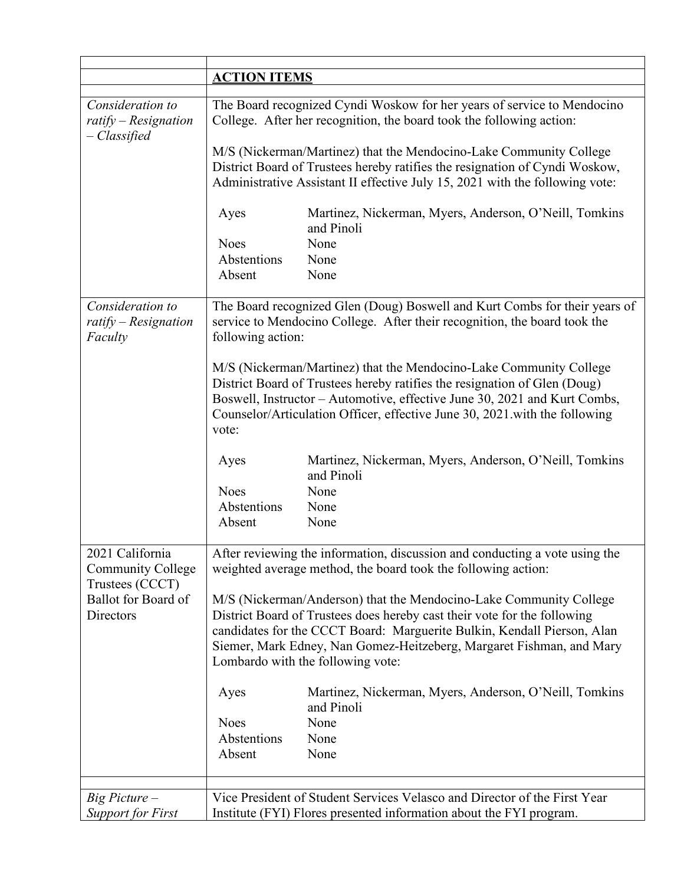|                                                                    | <b>ACTION ITEMS</b> |                                                                                                                                                                                                                                                                                                                                        |
|--------------------------------------------------------------------|---------------------|----------------------------------------------------------------------------------------------------------------------------------------------------------------------------------------------------------------------------------------------------------------------------------------------------------------------------------------|
| Consideration to<br>$r \alpha t$ ify - Resignation<br>– Classified |                     | The Board recognized Cyndi Woskow for her years of service to Mendocino<br>College. After her recognition, the board took the following action:                                                                                                                                                                                        |
|                                                                    |                     | M/S (Nickerman/Martinez) that the Mendocino-Lake Community College<br>District Board of Trustees hereby ratifies the resignation of Cyndi Woskow,<br>Administrative Assistant II effective July 15, 2021 with the following vote:                                                                                                      |
|                                                                    | Ayes                | Martinez, Nickerman, Myers, Anderson, O'Neill, Tomkins<br>and Pinoli                                                                                                                                                                                                                                                                   |
|                                                                    | <b>Noes</b>         | None                                                                                                                                                                                                                                                                                                                                   |
|                                                                    | Abstentions         | None                                                                                                                                                                                                                                                                                                                                   |
|                                                                    | Absent              | None                                                                                                                                                                                                                                                                                                                                   |
| Consideration to<br>$r \alpha t$ ify - Resignation<br>Faculty      | following action:   | The Board recognized Glen (Doug) Boswell and Kurt Combs for their years of<br>service to Mendocino College. After their recognition, the board took the                                                                                                                                                                                |
|                                                                    | vote:               | M/S (Nickerman/Martinez) that the Mendocino-Lake Community College<br>District Board of Trustees hereby ratifies the resignation of Glen (Doug)<br>Boswell, Instructor – Automotive, effective June 30, 2021 and Kurt Combs,<br>Counselor/Articulation Officer, effective June 30, 2021 with the following                             |
|                                                                    | Ayes                | Martinez, Nickerman, Myers, Anderson, O'Neill, Tomkins<br>and Pinoli                                                                                                                                                                                                                                                                   |
|                                                                    | <b>Noes</b>         | None                                                                                                                                                                                                                                                                                                                                   |
|                                                                    | Abstentions         | None                                                                                                                                                                                                                                                                                                                                   |
|                                                                    | Absent              | None                                                                                                                                                                                                                                                                                                                                   |
| 2021 California<br><b>Community College</b><br>Trustees (CCCT)     |                     | After reviewing the information, discussion and conducting a vote using the<br>weighted average method, the board took the following action:                                                                                                                                                                                           |
| Ballot for Board of<br>Directors                                   |                     | M/S (Nickerman/Anderson) that the Mendocino-Lake Community College<br>District Board of Trustees does hereby cast their vote for the following<br>candidates for the CCCT Board: Marguerite Bulkin, Kendall Pierson, Alan<br>Siemer, Mark Edney, Nan Gomez-Heitzeberg, Margaret Fishman, and Mary<br>Lombardo with the following vote: |
|                                                                    | Ayes                | Martinez, Nickerman, Myers, Anderson, O'Neill, Tomkins<br>and Pinoli                                                                                                                                                                                                                                                                   |
|                                                                    | <b>Noes</b>         | None                                                                                                                                                                                                                                                                                                                                   |
|                                                                    | Abstentions         | None                                                                                                                                                                                                                                                                                                                                   |
|                                                                    | Absent              | None                                                                                                                                                                                                                                                                                                                                   |
|                                                                    |                     |                                                                                                                                                                                                                                                                                                                                        |
| $Big$ Picture $-$                                                  |                     | Vice President of Student Services Velasco and Director of the First Year                                                                                                                                                                                                                                                              |
| <b>Support for First</b>                                           |                     | Institute (FYI) Flores presented information about the FYI program.                                                                                                                                                                                                                                                                    |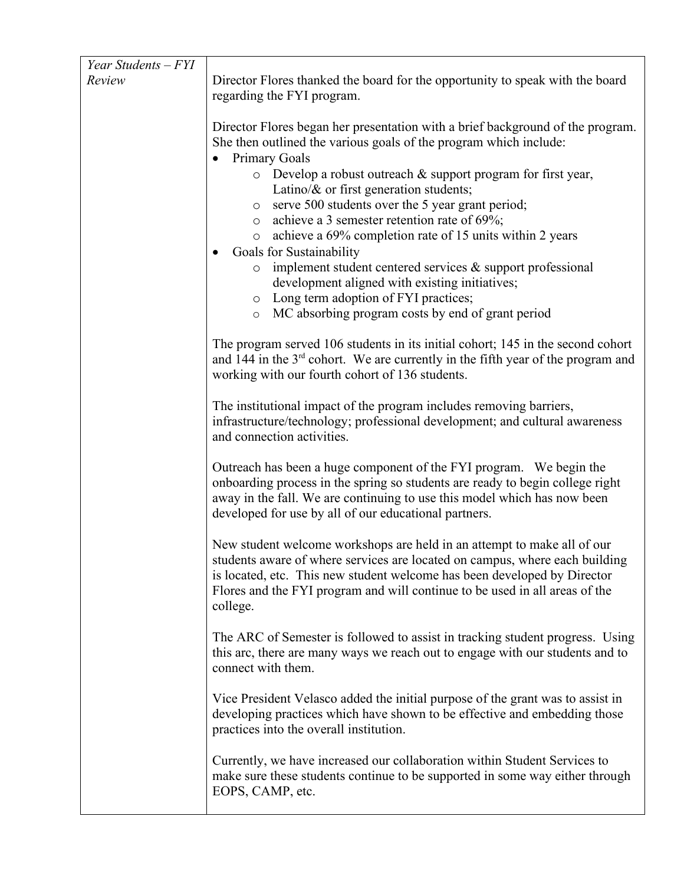| Year Students – FYI |                                                                                                                                                                                                                                                                                                                                                                                                                                                                                                                                                                                                                                                                                                                                                        |
|---------------------|--------------------------------------------------------------------------------------------------------------------------------------------------------------------------------------------------------------------------------------------------------------------------------------------------------------------------------------------------------------------------------------------------------------------------------------------------------------------------------------------------------------------------------------------------------------------------------------------------------------------------------------------------------------------------------------------------------------------------------------------------------|
| Review              | Director Flores thanked the board for the opportunity to speak with the board<br>regarding the FYI program.                                                                                                                                                                                                                                                                                                                                                                                                                                                                                                                                                                                                                                            |
|                     | Director Flores began her presentation with a brief background of the program.<br>She then outlined the various goals of the program which include:<br><b>Primary Goals</b><br>$\circ$ Develop a robust outreach & support program for first year,<br>Latino/ $\&$ or first generation students;<br>serve 500 students over the 5 year grant period;<br>$\circ$<br>o achieve a 3 semester retention rate of 69%;<br>$\circ$ achieve a 69% completion rate of 15 units within 2 years<br><b>Goals for Sustainability</b><br>implement student centered services $\&$ support professional<br>$\circ$<br>development aligned with existing initiatives;<br>o Long term adoption of FYI practices;<br>o MC absorbing program costs by end of grant period |
|                     | The program served 106 students in its initial cohort; 145 in the second cohort<br>and 144 in the $3^{rd}$ cohort. We are currently in the fifth year of the program and<br>working with our fourth cohort of 136 students.                                                                                                                                                                                                                                                                                                                                                                                                                                                                                                                            |
|                     | The institutional impact of the program includes removing barriers,<br>infrastructure/technology; professional development; and cultural awareness<br>and connection activities.                                                                                                                                                                                                                                                                                                                                                                                                                                                                                                                                                                       |
|                     | Outreach has been a huge component of the FYI program. We begin the<br>onboarding process in the spring so students are ready to begin college right<br>away in the fall. We are continuing to use this model which has now been<br>developed for use by all of our educational partners.                                                                                                                                                                                                                                                                                                                                                                                                                                                              |
|                     | New student welcome workshops are held in an attempt to make all of our<br>students aware of where services are located on campus, where each building<br>is located, etc. This new student welcome has been developed by Director<br>Flores and the FYI program and will continue to be used in all areas of the<br>college.                                                                                                                                                                                                                                                                                                                                                                                                                          |
|                     | The ARC of Semester is followed to assist in tracking student progress. Using<br>this arc, there are many ways we reach out to engage with our students and to<br>connect with them.                                                                                                                                                                                                                                                                                                                                                                                                                                                                                                                                                                   |
|                     | Vice President Velasco added the initial purpose of the grant was to assist in<br>developing practices which have shown to be effective and embedding those<br>practices into the overall institution.                                                                                                                                                                                                                                                                                                                                                                                                                                                                                                                                                 |
|                     | Currently, we have increased our collaboration within Student Services to<br>make sure these students continue to be supported in some way either through<br>EOPS, CAMP, etc.                                                                                                                                                                                                                                                                                                                                                                                                                                                                                                                                                                          |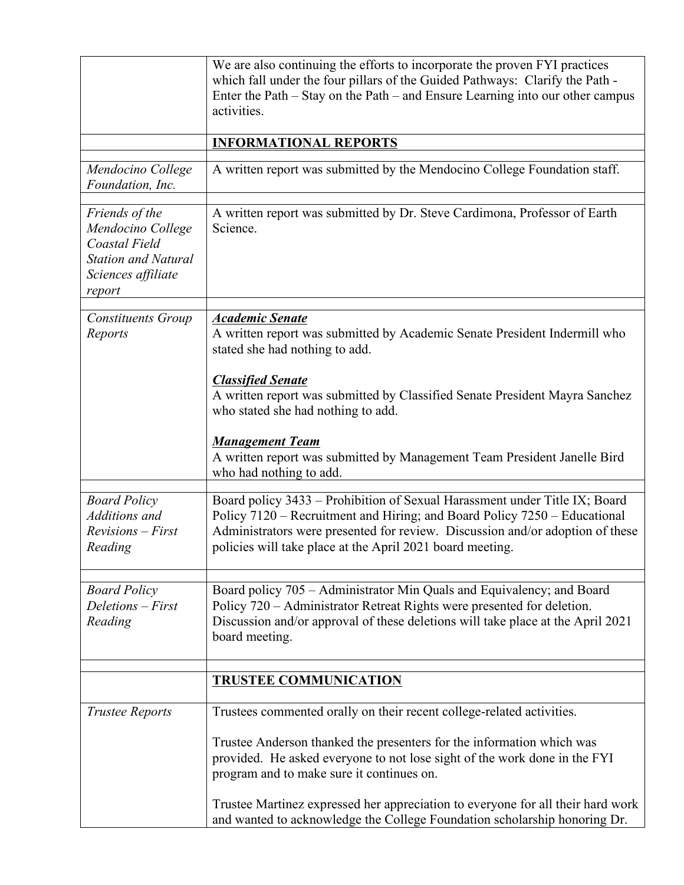|                                                                                                                    | We are also continuing the efforts to incorporate the proven FYI practices<br>which fall under the four pillars of the Guided Pathways: Clarify the Path -<br>Enter the Path – Stay on the Path – and Ensure Learning into our other campus<br>activities.                                            |
|--------------------------------------------------------------------------------------------------------------------|-------------------------------------------------------------------------------------------------------------------------------------------------------------------------------------------------------------------------------------------------------------------------------------------------------|
|                                                                                                                    | <b>INFORMATIONAL REPORTS</b>                                                                                                                                                                                                                                                                          |
| Mendocino College<br>Foundation, Inc.                                                                              | A written report was submitted by the Mendocino College Foundation staff.                                                                                                                                                                                                                             |
| Friends of the<br>Mendocino College<br>Coastal Field<br><b>Station and Natural</b><br>Sciences affiliate<br>report | A written report was submitted by Dr. Steve Cardimona, Professor of Earth<br>Science.                                                                                                                                                                                                                 |
| <b>Constituents Group</b><br>Reports                                                                               | <b>Academic Senate</b><br>A written report was submitted by Academic Senate President Indermill who<br>stated she had nothing to add.                                                                                                                                                                 |
|                                                                                                                    | <b>Classified Senate</b><br>A written report was submitted by Classified Senate President Mayra Sanchez<br>who stated she had nothing to add.                                                                                                                                                         |
|                                                                                                                    | <b>Management Team</b><br>A written report was submitted by Management Team President Janelle Bird<br>who had nothing to add.                                                                                                                                                                         |
| <b>Board Policy</b><br>Additions and<br>$Revisions - First$<br>Reading                                             | Board policy 3433 – Prohibition of Sexual Harassment under Title IX; Board<br>Policy 7120 – Recruitment and Hiring; and Board Policy 7250 – Educational<br>Administrators were presented for review. Discussion and/or adoption of these<br>policies will take place at the April 2021 board meeting. |
| <b>Board Policy</b><br>Deletions - First<br>Reading                                                                | Board policy 705 – Administrator Min Quals and Equivalency; and Board<br>Policy 720 – Administrator Retreat Rights were presented for deletion.<br>Discussion and/or approval of these deletions will take place at the April 2021<br>board meeting.                                                  |
|                                                                                                                    | <b>TRUSTEE COMMUNICATION</b>                                                                                                                                                                                                                                                                          |
| <b>Trustee Reports</b>                                                                                             | Trustees commented orally on their recent college-related activities.                                                                                                                                                                                                                                 |
|                                                                                                                    | Trustee Anderson thanked the presenters for the information which was<br>provided. He asked everyone to not lose sight of the work done in the FYI<br>program and to make sure it continues on.                                                                                                       |
|                                                                                                                    | Trustee Martinez expressed her appreciation to everyone for all their hard work<br>and wanted to acknowledge the College Foundation scholarship honoring Dr.                                                                                                                                          |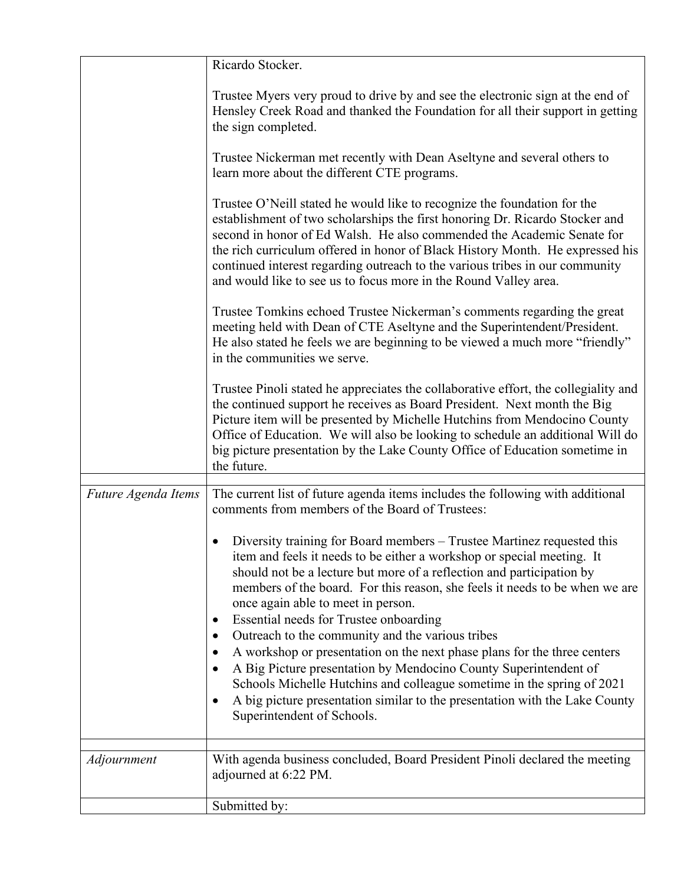|                     | Ricardo Stocker.                                                                                                                                                                                                                                                                                                                                                                                                                                                                                                                                                                                                                                                                                                                                                                    |
|---------------------|-------------------------------------------------------------------------------------------------------------------------------------------------------------------------------------------------------------------------------------------------------------------------------------------------------------------------------------------------------------------------------------------------------------------------------------------------------------------------------------------------------------------------------------------------------------------------------------------------------------------------------------------------------------------------------------------------------------------------------------------------------------------------------------|
|                     | Trustee Myers very proud to drive by and see the electronic sign at the end of<br>Hensley Creek Road and thanked the Foundation for all their support in getting<br>the sign completed.                                                                                                                                                                                                                                                                                                                                                                                                                                                                                                                                                                                             |
|                     | Trustee Nickerman met recently with Dean Aseltyne and several others to<br>learn more about the different CTE programs.                                                                                                                                                                                                                                                                                                                                                                                                                                                                                                                                                                                                                                                             |
|                     | Trustee O'Neill stated he would like to recognize the foundation for the<br>establishment of two scholarships the first honoring Dr. Ricardo Stocker and<br>second in honor of Ed Walsh. He also commended the Academic Senate for<br>the rich curriculum offered in honor of Black History Month. He expressed his<br>continued interest regarding outreach to the various tribes in our community<br>and would like to see us to focus more in the Round Valley area.                                                                                                                                                                                                                                                                                                             |
|                     | Trustee Tomkins echoed Trustee Nickerman's comments regarding the great<br>meeting held with Dean of CTE Aseltyne and the Superintendent/President.<br>He also stated he feels we are beginning to be viewed a much more "friendly"<br>in the communities we serve.                                                                                                                                                                                                                                                                                                                                                                                                                                                                                                                 |
|                     | Trustee Pinoli stated he appreciates the collaborative effort, the collegiality and<br>the continued support he receives as Board President. Next month the Big<br>Picture item will be presented by Michelle Hutchins from Mendocino County<br>Office of Education. We will also be looking to schedule an additional Will do<br>big picture presentation by the Lake County Office of Education sometime in<br>the future.                                                                                                                                                                                                                                                                                                                                                        |
|                     |                                                                                                                                                                                                                                                                                                                                                                                                                                                                                                                                                                                                                                                                                                                                                                                     |
| Future Agenda Items | The current list of future agenda items includes the following with additional<br>comments from members of the Board of Trustees:                                                                                                                                                                                                                                                                                                                                                                                                                                                                                                                                                                                                                                                   |
|                     | Diversity training for Board members – Trustee Martinez requested this<br>item and feels it needs to be either a workshop or special meeting. It<br>should not be a lecture but more of a reflection and participation by<br>members of the board. For this reason, she feels it needs to be when we are<br>once again able to meet in person.<br>Essential needs for Trustee onboarding<br>Outreach to the community and the various tribes<br>A workshop or presentation on the next phase plans for the three centers<br>A Big Picture presentation by Mendocino County Superintendent of<br>Schools Michelle Hutchins and colleague sometime in the spring of 2021<br>A big picture presentation similar to the presentation with the Lake County<br>Superintendent of Schools. |
|                     |                                                                                                                                                                                                                                                                                                                                                                                                                                                                                                                                                                                                                                                                                                                                                                                     |
| Adjournment         | With agenda business concluded, Board President Pinoli declared the meeting<br>adjourned at 6:22 PM.                                                                                                                                                                                                                                                                                                                                                                                                                                                                                                                                                                                                                                                                                |
|                     | Submitted by:                                                                                                                                                                                                                                                                                                                                                                                                                                                                                                                                                                                                                                                                                                                                                                       |